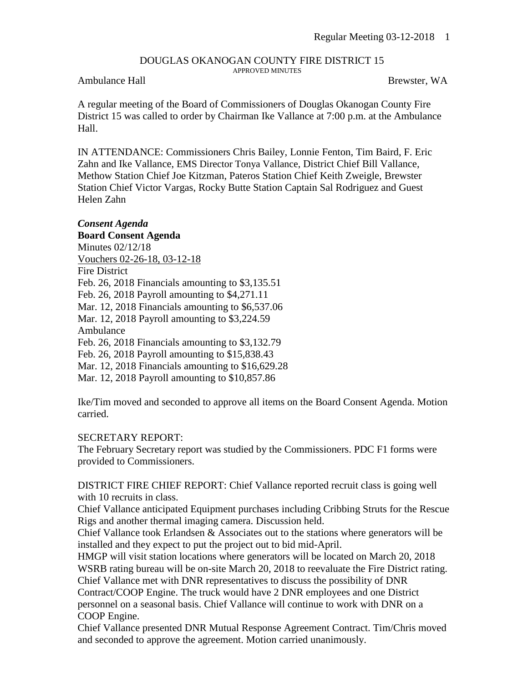## DOUGLAS OKANOGAN COUNTY FIRE DISTRICT 15 APPROVED MINUTES

## Ambulance Hall Brewster, WA

A regular meeting of the Board of Commissioners of Douglas Okanogan County Fire District 15 was called to order by Chairman Ike Vallance at 7:00 p.m. at the Ambulance Hall.

IN ATTENDANCE: Commissioners Chris Bailey, Lonnie Fenton, Tim Baird, F. Eric Zahn and Ike Vallance, EMS Director Tonya Vallance, District Chief Bill Vallance, Methow Station Chief Joe Kitzman, Pateros Station Chief Keith Zweigle, Brewster Station Chief Victor Vargas, Rocky Butte Station Captain Sal Rodriguez and Guest Helen Zahn

## *Consent Agenda*

**Board Consent Agenda** Minutes 02/12/18 Vouchers 02-26-18, 03-12-18 Fire District Feb. 26, 2018 Financials amounting to \$3,135.51 Feb. 26, 2018 Payroll amounting to \$4,271.11 Mar. 12, 2018 Financials amounting to \$6,537.06 Mar. 12, 2018 Payroll amounting to \$3,224.59 Ambulance Feb. 26, 2018 Financials amounting to \$3,132.79 Feb. 26, 2018 Payroll amounting to \$15,838.43 Mar. 12, 2018 Financials amounting to \$16,629.28 Mar. 12, 2018 Payroll amounting to \$10,857.86

Ike/Tim moved and seconded to approve all items on the Board Consent Agenda. Motion carried.

## SECRETARY REPORT:

The February Secretary report was studied by the Commissioners. PDC F1 forms were provided to Commissioners.

DISTRICT FIRE CHIEF REPORT: Chief Vallance reported recruit class is going well with 10 recruits in class.

Chief Vallance anticipated Equipment purchases including Cribbing Struts for the Rescue Rigs and another thermal imaging camera. Discussion held.

Chief Vallance took Erlandsen  $\&$  Associates out to the stations where generators will be installed and they expect to put the project out to bid mid-April.

HMGP will visit station locations where generators will be located on March 20, 2018 WSRB rating bureau will be on-site March 20, 2018 to reevaluate the Fire District rating. Chief Vallance met with DNR representatives to discuss the possibility of DNR

Contract/COOP Engine. The truck would have 2 DNR employees and one District personnel on a seasonal basis. Chief Vallance will continue to work with DNR on a COOP Engine.

Chief Vallance presented DNR Mutual Response Agreement Contract. Tim/Chris moved and seconded to approve the agreement. Motion carried unanimously.